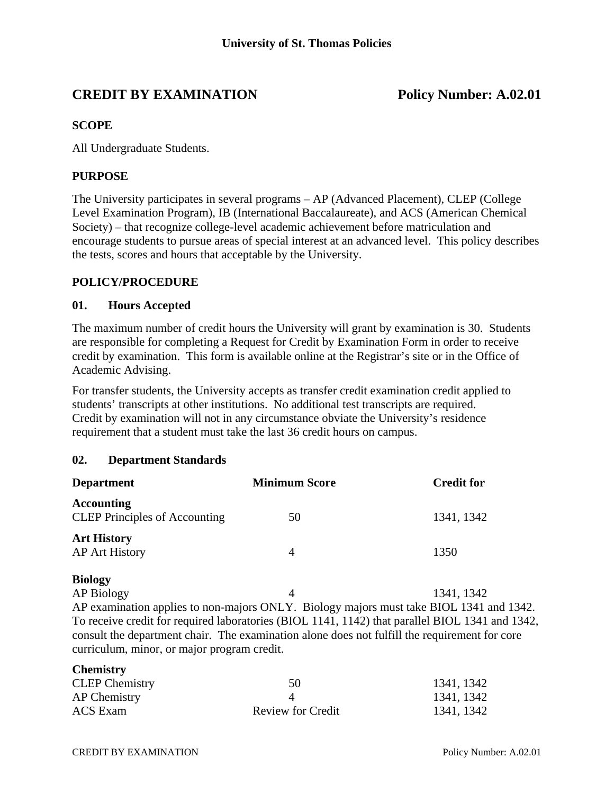# **CREDIT BY EXAMINATION Policy Number: A.02.01**

#### **SCOPE**

All Undergraduate Students.

#### **PURPOSE**

The University participates in several programs – AP (Advanced Placement), CLEP (College Level Examination Program), IB (International Baccalaureate), and ACS (American Chemical Society) – that recognize college-level academic achievement before matriculation and encourage students to pursue areas of special interest at an advanced level. This policy describes the tests, scores and hours that acceptable by the University.

#### **POLICY/PROCEDURE**

#### **01. Hours Accepted**

The maximum number of credit hours the University will grant by examination is 30. Students are responsible for completing a Request for Credit by Examination Form in order to receive credit by examination. This form is available online at the Registrar's site or in the Office of Academic Advising.

For transfer students, the University accepts as transfer credit examination credit applied to students' transcripts at other institutions. No additional test transcripts are required. Credit by examination will not in any circumstance obviate the University's residence requirement that a student must take the last 36 credit hours on campus.

#### **02. Department Standards**

| <b>Department</b>                                                                               | <b>Minimum Score</b> | <b>Credit for</b> |  |
|-------------------------------------------------------------------------------------------------|----------------------|-------------------|--|
| <b>Accounting</b>                                                                               | 50                   | 1341, 1342        |  |
| <b>CLEP</b> Principles of Accounting                                                            |                      |                   |  |
| <b>Art History</b>                                                                              |                      |                   |  |
| <b>AP Art History</b>                                                                           | $\overline{4}$       | 1350              |  |
| <b>Biology</b>                                                                                  |                      |                   |  |
| <b>AP Biology</b>                                                                               | 4                    | 1341, 1342        |  |
| AP examination applies to non-majors ONLY. Biology majors must take BIOL 1341 and 1342.         |                      |                   |  |
| To receive credit for required laboratories (BIOL 1141, 1142) that parallel BIOL 1341 and 1342, |                      |                   |  |
| consult the department chair. The examination alone does not fulfill the requirement for core   |                      |                   |  |
| curriculum, minor, or major program credit.                                                     |                      |                   |  |

#### **Chemistry**

| <b>CLEP</b> Chemistry | 50                       | 1341, 1342 |
|-----------------------|--------------------------|------------|
| AP Chemistry          |                          | 1341, 1342 |
| ACS Exam              | <b>Review for Credit</b> | 1341, 1342 |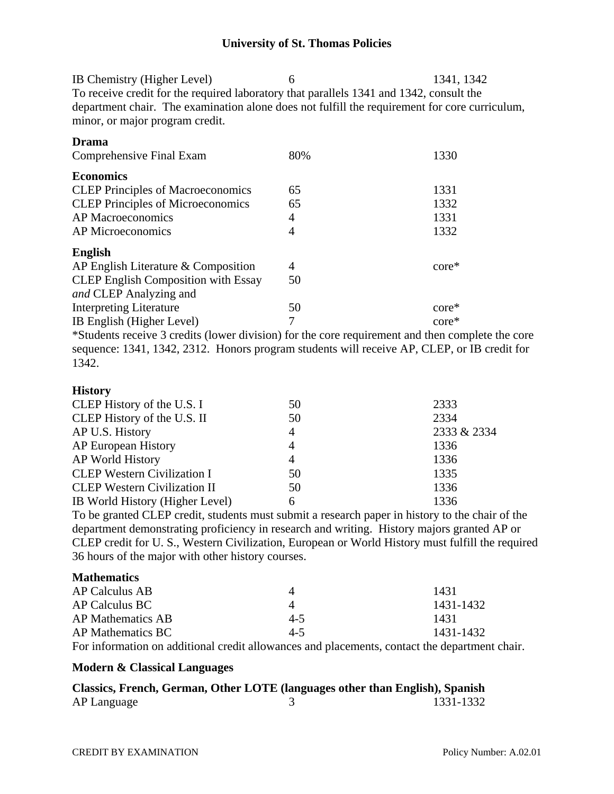IB Chemistry (Higher Level) 6 1341, 1342 To receive credit for the required laboratory that parallels 1341 and 1342, consult the department chair. The examination alone does not fulfill the requirement for core curriculum, minor, or major program credit.

|                | 1330            |
|----------------|-----------------|
|                |                 |
| 65             | 1331            |
| 65             | 1332            |
| 4              | 1331            |
| 4              | 1332            |
|                |                 |
| $\overline{A}$ | $core*$         |
| 50             |                 |
|                |                 |
| 50             | $core*$         |
| 7              | $\text{core}^*$ |
|                |                 |
|                | 80%             |

\*Students receive 3 credits (lower division) for the core requirement and then complete the core sequence: 1341, 1342, 2312. Honors program students will receive AP, CLEP, or IB credit for 1342.

### **History**

| CLEP History of the U.S. I          | 50 | 2333        |
|-------------------------------------|----|-------------|
| CLEP History of the U.S. II         | 50 | 2334        |
| AP U.S. History                     | 4  | 2333 & 2334 |
| AP European History                 | 4  | 1336        |
| AP World History                    | 4  | 1336        |
| <b>CLEP Western Civilization I</b>  | 50 | 1335        |
| <b>CLEP Western Civilization II</b> | 50 | 1336        |
| IB World History (Higher Level)     | 6  | 1336        |

To be granted CLEP credit, students must submit a research paper in history to the chair of the department demonstrating proficiency in research and writing. History majors granted AP or CLEP credit for U. S., Western Civilization, European or World History must fulfill the required 36 hours of the major with other history courses.

## **Mathematics**

| AP Calculus AB    |       | 1431      |
|-------------------|-------|-----------|
| AP Calculus BC    |       | 1431-1432 |
| AP Mathematics AB | $4-5$ | 1431      |
| AP Mathematics BC | $4-5$ | 1431-1432 |

For information on additional credit allowances and placements, contact the department chair.

#### **Modern & Classical Languages**

|             | Classics, French, German, Other LOTE (languages other than English), Spanish |           |
|-------------|------------------------------------------------------------------------------|-----------|
| AP Language |                                                                              | 1331-1332 |